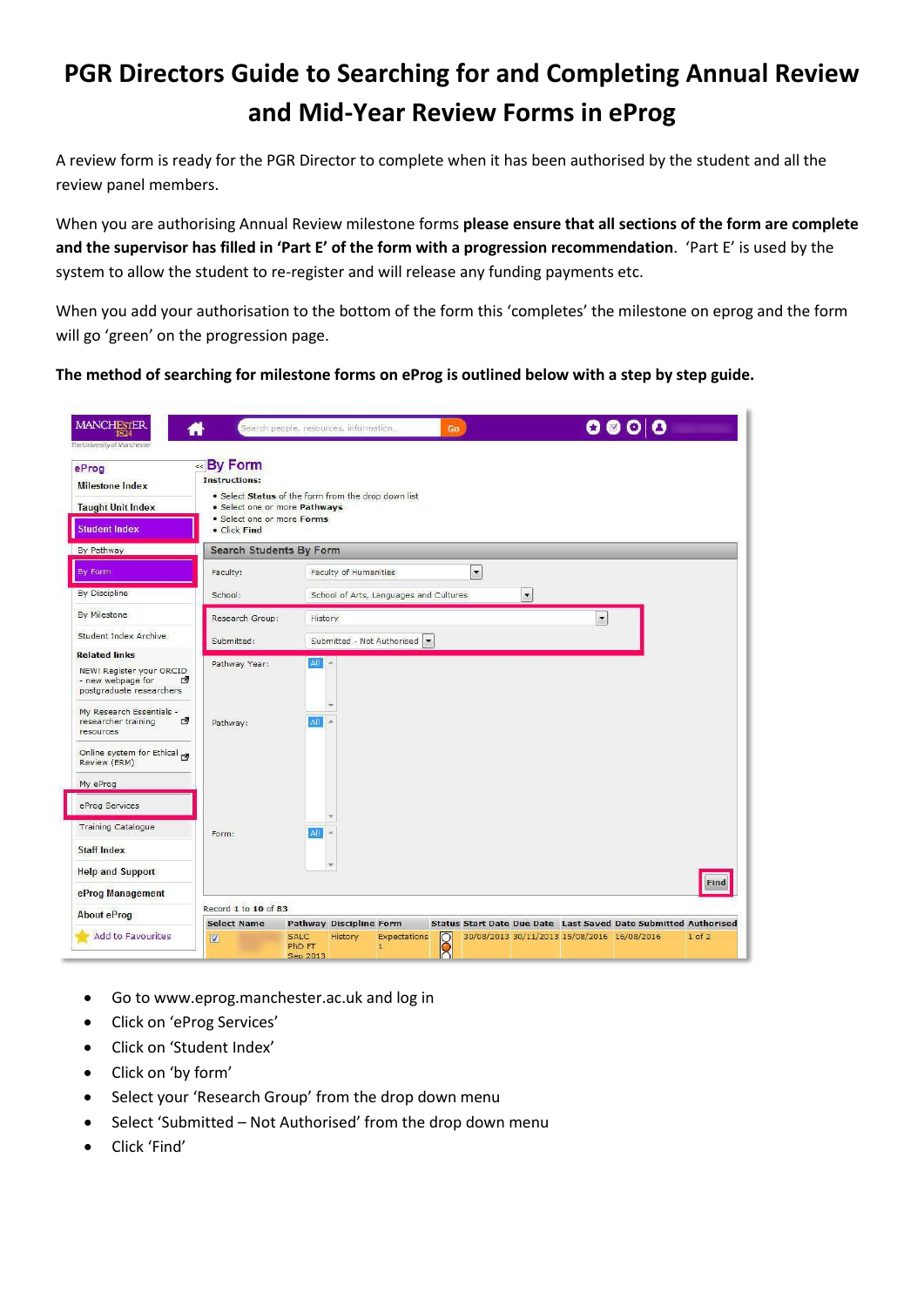## **PGR Directors Guide to Searching for and Completing Annual Review and Mid-Year Review Forms in eProg**

A review form is ready for the PGR Director to complete when it has been authorised by the student and all the review panel members.

When you are authorising Annual Review milestone forms **please ensure that all sections of the form are complete and the supervisor has filled in 'Part E' of the form with a progression recommendation**. 'Part E' is used by the system to allow the student to re-register and will release any funding payments etc.

When you add your authorisation to the bottom of the form this 'completes' the milestone on eprog and the form will go 'green' on the progression page.

**The method of searching for milestone forms on eProg is outlined below with a step by step guide.**

| <b>MANCHESTER</b><br>1824<br>The University of Manchester                                              |                                                                                                                                                                        | Search people, resources, information |                                                  |                                        | Go                     |                          |                      | Ø                        | $\blacksquare$<br>О                                                                                                   | $\mathbf{o}$ and $\mathbf{o}$ |
|--------------------------------------------------------------------------------------------------------|------------------------------------------------------------------------------------------------------------------------------------------------------------------------|---------------------------------------|--------------------------------------------------|----------------------------------------|------------------------|--------------------------|----------------------|--------------------------|-----------------------------------------------------------------------------------------------------------------------|-------------------------------|
| eProg<br><b>Milestone Index</b><br><b>Taught Unit Index</b><br><b>Student Index</b>                    | «By Form<br><b>Instructions:</b><br>. Select Status of the form from the drop down list<br>· Select one or more Pathways<br>· Select one or more Forms<br>· Click Find |                                       |                                                  |                                        |                        |                          |                      |                          |                                                                                                                       |                               |
| By Pathway                                                                                             | <b>Search Students By Form</b>                                                                                                                                         |                                       |                                                  |                                        |                        |                          |                      |                          |                                                                                                                       |                               |
| By Form                                                                                                | Faculty:                                                                                                                                                               |                                       | Faculty of Humanities                            |                                        |                        | $\overline{\phantom{a}}$ |                      |                          |                                                                                                                       |                               |
| By Discipline                                                                                          | School:                                                                                                                                                                |                                       |                                                  | School of Arts, Languages and Cultures |                        |                          | $\blacktriangledown$ |                          |                                                                                                                       |                               |
| By Milestone                                                                                           | Research Group:                                                                                                                                                        | History                               |                                                  |                                        |                        |                          |                      | $\overline{\phantom{0}}$ |                                                                                                                       |                               |
| Student Index Archive                                                                                  | Submitted:                                                                                                                                                             |                                       |                                                  | Submitted - Not Authorised             |                        |                          |                      |                          |                                                                                                                       |                               |
| <b>Related links</b><br>NEW! Register your ORCID<br>- new webpage for<br>四<br>postgraduate researchers | Pathway Year:                                                                                                                                                          | All A                                 |                                                  |                                        |                        |                          |                      |                          |                                                                                                                       |                               |
| My Research Essentials -<br>₫<br>researcher training<br>resources                                      | Pathway:                                                                                                                                                               | All                                   |                                                  |                                        |                        |                          |                      |                          |                                                                                                                       |                               |
| Online system for Ethical<br>Review (ERM)                                                              |                                                                                                                                                                        |                                       |                                                  |                                        |                        |                          |                      |                          |                                                                                                                       |                               |
| My eProg                                                                                               |                                                                                                                                                                        |                                       |                                                  |                                        |                        |                          |                      |                          |                                                                                                                       |                               |
| eProg Services                                                                                         |                                                                                                                                                                        |                                       |                                                  |                                        |                        |                          |                      |                          |                                                                                                                       |                               |
| <b>Training Catalogue</b>                                                                              | Form:                                                                                                                                                                  | All                                   |                                                  |                                        |                        |                          |                      |                          |                                                                                                                       |                               |
| <b>Staff Index</b>                                                                                     |                                                                                                                                                                        |                                       |                                                  |                                        |                        |                          |                      |                          |                                                                                                                       |                               |
| <b>Help and Support</b>                                                                                |                                                                                                                                                                        |                                       |                                                  |                                        |                        |                          |                      |                          |                                                                                                                       |                               |
| eProg Management                                                                                       |                                                                                                                                                                        |                                       |                                                  |                                        |                        |                          |                      |                          |                                                                                                                       | Find                          |
| <b>About eProg</b>                                                                                     | Record 1 to 10 of 83                                                                                                                                                   |                                       |                                                  |                                        |                        |                          |                      |                          |                                                                                                                       |                               |
| Add to Favourites                                                                                      | <b>Select Name</b><br>$\overline{\mathbf{z}}$                                                                                                                          | <b>SALC</b><br>PhD FT<br>Sep 2013     | <b>Pathway Discipline Form</b><br><b>History</b> | Expectations<br>$\mathbf{1}$           | $\overline{\text{00}}$ |                          |                      |                          | <b>Status Start Date Due Date Last Saved Date Submitted Authorised</b><br>30/08/2013 30/11/2013 15/08/2016 16/08/2016 | $1$ of $2$                    |

- Go to www.eprog.manchester.ac.uk and log in
- Click on 'eProg Services'
- Click on 'Student Index'
- Click on 'by form'
- Select your 'Research Group' from the drop down menu
- Select 'Submitted Not Authorised' from the drop down menu
- Click 'Find'